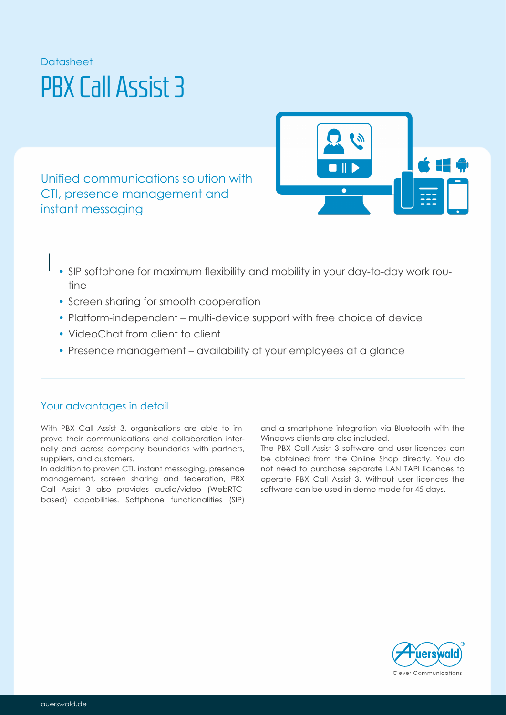# **Datasheet** PBX Call Assist 3

Unified communications solution with CTI, presence management and instant messaging



- SIP softphone for maximum flexibility and mobility in your day-to-day work routine
- Screen sharing for smooth cooperation
- Platform-independent multi-device support with free choice of device
- VideoChat from client to client
- Presence management availability of your employees at a glance

# Your advantages in detail

With PBX Call Assist 3, organisations are able to improve their communications and collaboration internally and across company boundaries with partners, suppliers, and customers.

In addition to proven CTI, instant messaging, presence management, screen sharing and federation, PBX Call Assist 3 also provides audio/video (WebRTCbased) capabilities. Softphone functionalities (SIP) and a smartphone integration via Bluetooth with the Windows clients are also included.

The PBX Call Assist 3 software and user licences can be obtained from the Online Shop directly. You do not need to purchase separate LAN TAPI licences to operate PBX Call Assist 3. Without user licences the software can be used in demo mode for 45 days.

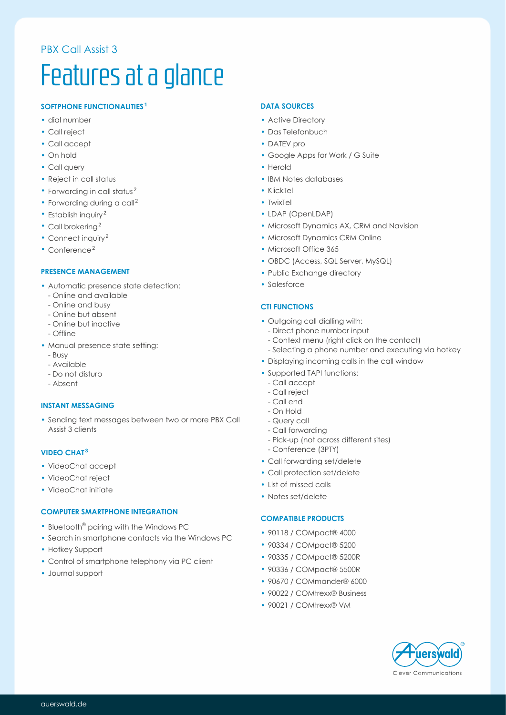# PBX Call Assist 3

# Features at a glance

# **SOFTPHONE FUNCTIONALITIES <sup>1</sup>**

- dial number
- Call reject
- Call accept
- On hold
- Call query
- Reject in call status
- Forwarding in call status<sup>2</sup>
- $\cdot$  Forwarding during a call<sup>2</sup>
- Establish inquiry<sup>2</sup>
- $\cdot$  Call brokering<sup>2</sup>
- Connect inquiry<sup>2</sup>
- $\cdot$  Conference<sup>2</sup>

#### **PRESENCE MANAGEMENT**

- Automatic presence state detection:
	- Online and available
	- Online and busy
	- Online but absent
	- Online but inactive
	- Offline
- Manual presence state setting:
	- Busy
	- Available
	- Do not disturb
	- Absent

#### **INSTANT MESSAGING**

• Sending text messages between two or more PBX Call Assist 3 clients

#### **VIDEO CHAT<sup>3</sup>**

- VideoChat accept
- VideoChat reject
- VideoChat initiate

#### **COMPUTER SMARTPHONE INTEGRATION**

- $\cdot$  Bluetooth<sup>®</sup> pairing with the Windows PC
- Search in smartphone contacts via the Windows PC
- Hotkey Support
- Control of smartphone telephony via PC client
- Journal support

#### **DATA SOURCES**

- Active Directory
- Das Telefonbuch
- DATEV pro
- Google Apps for Work / G Suite
- Herold
- IBM Notes databases
- KlickTel
- TwixTel
- LDAP (OpenLDAP)
- Microsoft Dynamics AX, CRM and Navision
- Microsoft Dynamics CRM Online
- Microsoft Office 365
- OBDC (Access, SQL Server, MySQL)
- Public Exchange directory
- Salesforce

#### **CTI FUNCTIONS**

- Outgoing call dialling with:
	- Direct phone number input
	- Context menu (right click on the contact)
	- Selecting a phone number and executing via hotkey
- Displaying incoming calls in the call window
- Supported TAPI functions:
	- Call accept
	- Call reject
	- Call end
	- On Hold
	- Query call - Call forwarding
	- Pick-up (not across different sites)
	- Conference (3PTY)
- Call forwarding set/delete
- Call protection set/delete
- List of missed calls
- Notes set/delete

#### **COMPATIBLE PRODUCTS**

- 90118 / COMpact® 4000
- 90334 / COMpact® 5200
- 90335 / COMpact® 5200R
- 90336 / COMpact® 5500R
- 90670 / COMmander® 6000
- 90022 / COMtrexx® Business
- 90021 / COMtrexx® VM